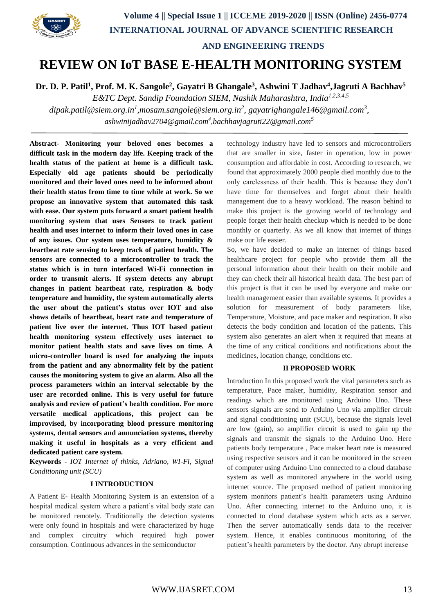

# **REVIEW ON IoT BASE E-HEALTH MONITORING SYSTEM**

**Dr. D. P. Patil<sup>1</sup> , Prof. M. K. Sangole<sup>2</sup> , Gayatri B Ghangale<sup>3</sup> , Ashwini T Jadhav<sup>4</sup> ,Jagruti A Bachhav<sup>5</sup>**

*E&TC Dept. Sandip Foundation SIEM, Nashik Maharashtra, India1,2,3,4,5 dipak.patil@siem.org.in<sup>1</sup> ,mosam.sangole@siem.org.in<sup>2</sup> , gayatrighangale146@gmail.com<sup>3</sup> , [ashwinijadhav2704@gmail.com](mailto:ashwinijadhav2704@gmail.com4,bachhavjagruti22@gmail.com)<sup>4</sup> ,bachhavjagruti22@gmail.com<sup>5</sup>*

**Abstract- Monitoring your beloved ones becomes a difficult task in the modern day life. Keeping track of the health status of the patient at home is a difficult task. Especially old age patients should be periodically monitored and their loved ones need to be informed about their health status from time to time while at work. So we propose an innovative system that automated this task with ease. Our system puts forward a smart patient health monitoring system that uses Sensors to track patient health and uses internet to inform their loved ones in case of any issues. Our system uses temperature, humidity & heartbeat rate sensing to keep track of patient health. The sensors are connected to a microcontroller to track the status which is in turn interfaced Wi-Fi connection in order to transmit alerts. If system detects any abrupt changes in patient heartbeat rate, respiration & body temperature and humidity, the system automatically alerts the user about the patient's status over IOT and also shows details of heartbeat, heart rate and temperature of patient live over the internet. Thus IOT based patient health monitoring system effectively uses internet to monitor patient health stats and save lives on time. A micro-controller board is used for analyzing the inputs from the patient and any abnormality felt by the patient causes the monitoring system to give an alarm. Also all the process parameters within an interval selectable by the user are recorded online. This is very useful for future analysis and review of patient's health condition. For more versatile medical applications, this project can be improvised, by incorporating blood pressure monitoring systems, dental sensors and annunciation systems, thereby making it useful in hospitals as a very efficient and dedicated patient care system.**

**Keywords -** *IOT Internet of thinks, Adriano, WI-Fi, Signal Conditioning unit (SCU)*

## **I INTRODUCTION**

A Patient E- Health Monitoring System is an extension of a hospital medical system where a patient's vital body state can be monitored remotely. Traditionally the detection systems were only found in hospitals and were characterized by huge and complex circuitry which required high power consumption. Continuous advances in the semiconductor

technology industry have led to sensors and microcontrollers that are smaller in size, faster in operation, low in power consumption and affordable in cost. According to research, we found that approximately 2000 people died monthly due to the only carelessness of their health. This is because they don't have time for themselves and forget about their health management due to a heavy workload. The reason behind to make this project is the growing world of technology and people forget their health checkup which is needed to be done monthly or quarterly. As we all know that internet of things make our life easier.

So, we have decided to make an internet of things based healthcare project for people who provide them all the personal information about their health on their mobile and they can check their all historical health data. The best part of this project is that it can be used by everyone and make our health management easier than available systems. It provides a solution for measurement of body parameters like, Temperature, Moisture, and pace maker and respiration. It also detects the body condition and location of the patients. This system also generates an alert when it required that means at the time of any critical conditions and notifications about the medicines, location change, conditions etc.

#### **II PROPOSED WORK**

Introduction In this proposed work the vital parameters such as temperature, Pace maker, humidity, Respiration sensor and readings which are monitored using Arduino Uno. These sensors signals are send to Arduino Uno via amplifier circuit and signal conditioning unit (SCU), because the signals level are low (gain), so amplifier circuit is used to gain up the signals and transmit the signals to the Arduino Uno. Here patients body temperature , Pace maker heart rate is measured using respective sensors and it can be monitored in the screen of computer using Arduino Uno connected to a cloud database system as well as monitored anywhere in the world using internet source. The proposed method of patient monitoring system monitors patient's health parameters using Arduino Uno. After connecting internet to the Arduino uno, it is connected to cloud database system which acts as a server. Then the server automatically sends data to the receiver system. Hence, it enables continuous monitoring of the patient's health parameters by the doctor. Any abrupt increase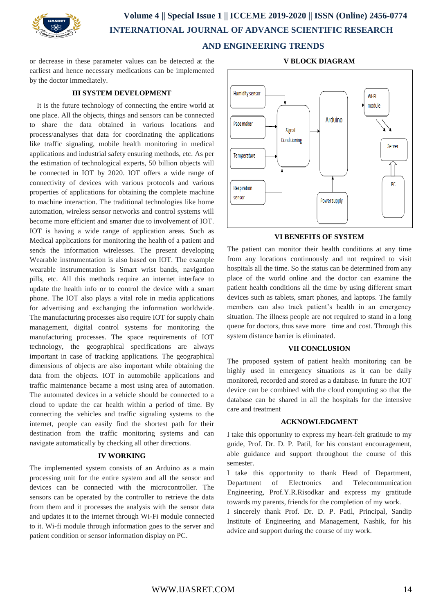

# **Volume 4 || Special Issue 1 || ICCEME 2019-2020 || ISSN (Online) 2456-0774 INTERNATIONAL JOURNAL OF ADVANCE SCIENTIFIC RESEARCH AND ENGINEERING TRENDS**

or decrease in these parameter values can be detected at the earliest and hence necessary medications can be implemented by the doctor immediately.

# **III SYSTEM DEVELOPMENT**

It is the future technology of connecting the entire world at one place. All the objects, things and sensors can be connected to share the data obtained in various locations and process/analyses that data for coordinating the applications like traffic signaling, mobile health monitoring in medical applications and industrial safety ensuring methods, etc. As per the estimation of technological experts, 50 billion objects will be connected in IOT by 2020. IOT offers a wide range of connectivity of devices with various protocols and various properties of applications for obtaining the complete machine to machine interaction. The traditional technologies like home automation, wireless sensor networks and control systems will become more efficient and smarter due to involvement of IOT. IOT is having a wide range of application areas. Such as Medical applications for monitoring the health of a patient and sends the information wirelesses. The present developing Wearable instrumentation is also based on IOT. The example wearable instrumentation is Smart wrist bands, navigation pills, etc. All this methods require an internet interface to update the health info or to control the device with a smart phone. The IOT also plays a vital role in media applications for advertising and exchanging the information worldwide. The manufacturing processes also require IOT for supply chain management, digital control systems for monitoring the manufacturing processes. The space requirements of IOT technology, the geographical specifications are always important in case of tracking applications. The geographical dimensions of objects are also important while obtaining the data from the objects. IOT in automobile applications and traffic maintenance became a most using area of automation. The automated devices in a vehicle should be connected to a cloud to update the car health within a period of time. By connecting the vehicles and traffic signaling systems to the internet, people can easily find the shortest path for their destination from the traffic monitoring systems and can navigate automatically by checking all other directions.

#### **IV WORKING**

The implemented system consists of an Arduino as a main processing unit for the entire system and all the sensor and devices can be connected with the microcontroller. The sensors can be operated by the controller to retrieve the data from them and it processes the analysis with the sensor data and updates it to the internet through Wi-Fi module connected to it. Wi-fi module through information goes to the server and patient condition or sensor information display on PC.



# **VI BENEFITS OF SYSTEM**

The patient can monitor their health conditions at any time from any locations continuously and not required to visit hospitals all the time. So the status can be determined from any place of the world online and the doctor can examine the patient health conditions all the time by using different smart devices such as tablets, smart phones, and laptops. The family members can also track patient's health in an emergency situation. The illness people are not required to stand in a long queue for doctors, thus save more time and cost. Through this system distance barrier is eliminated.

## **VII CONCLUSION**

The proposed system of patient health monitoring can be highly used in emergency situations as it can be daily monitored, recorded and stored as a database. In future the IOT device can be combined with the cloud computing so that the database can be shared in all the hospitals for the intensive care and treatment

### **ACKNOWLEDGMENT**

I take this opportunity to express my heart-felt gratitude to my guide, Prof. Dr. D. P. Patil, for his constant encouragement, able guidance and support throughout the course of this semester.

I take this opportunity to thank Head of Department, Department of Electronics and Telecommunication Engineering, Prof.Y.R.Risodkar and express my gratitude towards my parents, friends for the completion of my work.

I sincerely thank Prof. Dr. D. P. Patil, Principal, Sandip Institute of Engineering and Management, Nashik, for his advice and support during the course of my work.